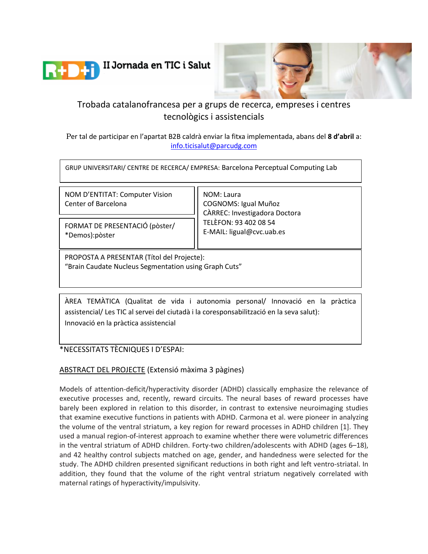



# Trobada catalanofrancesa per a grups de recerca, empreses i centres tecnològics i assistencials

Per tal de participar en l'apartat B2B caldrà enviar la fitxa implementada, abans del **8 d'abril** a: [info.ticisalut@parcudg.com](mailto:info.ticisalut@parcudg.com)

GRUP UNIVERSITARI/ CENTRE DE RECERCA/ EMPRESA: Barcelona Perceptual Computing Lab

NOM D'ENTITAT: Computer Vision Center of Barcelona

FORMAT DE PRESENTACIÓ (pòster/ \*Demos):pòster

NOM: Laura COGNOMS: Igual Muñoz CÀRREC: Investigadora Doctora TELÈFON: 93 402 08 54 E-MAIL: ligual@cvc.uab.es

PROPOSTA A PRESENTAR (Títol del Projecte): "Brain Caudate Nucleus Segmentation using Graph Cuts"

ÀREA TEMÀTICA (Qualitat de vida i autonomia personal/ Innovació en la pràctica assistencial/ Les TIC al servei del ciutadà i la coresponsabilització en la seva salut): Innovació en la pràctica assistencial

\*NECESSITATS TÈCNIQUES I D'ESPAI:

## ABSTRACT DEL PROJECTE (Extensió màxima 3 pàgines)

Models of attention-deficit/hyperactivity disorder (ADHD) classically emphasize the relevance of executive processes and, recently, reward circuits. The neural bases of reward processes have barely been explored in relation to this disorder, in contrast to extensive neuroimaging studies that examine executive functions in patients with ADHD. Carmona et al. were pioneer in analyzing the volume of the ventral striatum, a key region for reward processes in ADHD children [1]. They used a manual region-of-interest approach to examine whether there were volumetric differences in the ventral striatum of ADHD children. Forty-two children/adolescents with ADHD (ages 6–18), and 42 healthy control subjects matched on age, gender, and handedness were selected for the study. The ADHD children presented significant reductions in both right and left ventro-striatal. In addition, they found that the volume of the right ventral striatum negatively correlated with maternal ratings of hyperactivity/impulsivity.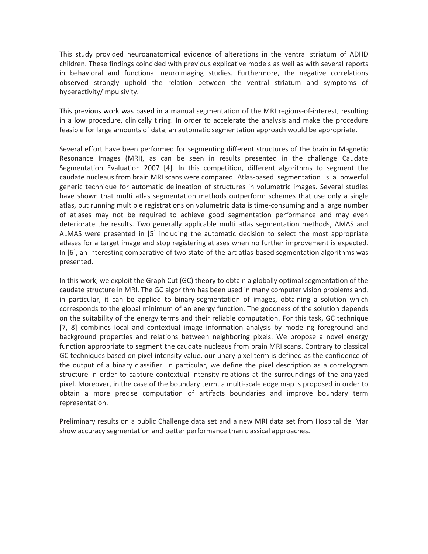This study provided neuroanatomical evidence of alterations in the ventral striatum of ADHD children. These findings coincided with previous explicative models as well as with several reports in behavioral and functional neuroimaging studies. Furthermore, the negative correlations observed strongly uphold the relation between the ventral striatum and symptoms of hyperactivity/impulsivity.

This previous work was based in a manual segmentation of the MRI regions-of-interest, resulting in a low procedure, clinically tiring. In order to accelerate the analysis and make the procedure feasible for large amounts of data, an automatic segmentation approach would be appropriate.

Several effort have been performed for segmenting different structures of the brain in Magnetic Resonance Images (MRI), as can be seen in results presented in the challenge Caudate Segmentation Evaluation 2007 [4]. In this competition, different algorithms to segment the caudate nucleaus from brain MRI scans were compared. Atlas-based segmentation is a powerful generic technique for automatic delineation of structures in volumetric images. Several studies have shown that multi atlas segmentation methods outperform schemes that use only a single atlas, but running multiple registrations on volumetric data is time-consuming and a large number of atlases may not be required to achieve good segmentation performance and may even deteriorate the results. Two generally applicable multi atlas segmentation methods, AMAS and ALMAS were presented in [5] including the automatic decision to select the most appropriate atlases for a target image and stop registering atlases when no further improvement is expected. In [6], an interesting comparative of two state-of-the-art atlas-based segmentation algorithms was presented.

In this work, we exploit the Graph Cut (GC) theory to obtain a globally optimal segmentation of the caudate structure in MRI. The GC algorithm has been used in many computer vision problems and, in particular, it can be applied to binary-segmentation of images, obtaining a solution which corresponds to the global minimum of an energy function. The goodness of the solution depends on the suitability of the energy terms and their reliable computation. For this task, GC technique [7, 8] combines local and contextual image information analysis by modeling foreground and background properties and relations between neighboring pixels. We propose a novel energy function appropriate to segment the caudate nucleaus from brain MRI scans. Contrary to classical GC techniques based on pixel intensity value, our unary pixel term is defined as the confidence of the output of a binary classifier. In particular, we define the pixel description as a correlogram structure in order to capture contextual intensity relations at the surroundings of the analyzed pixel. Moreover, in the case of the boundary term, a multi-scale edge map is proposed in order to obtain a more precise computation of artifacts boundaries and improve boundary term representation.

Preliminary results on a public Challenge data set and a new MRI data set from Hospital del Mar show accuracy segmentation and better performance than classical approaches.